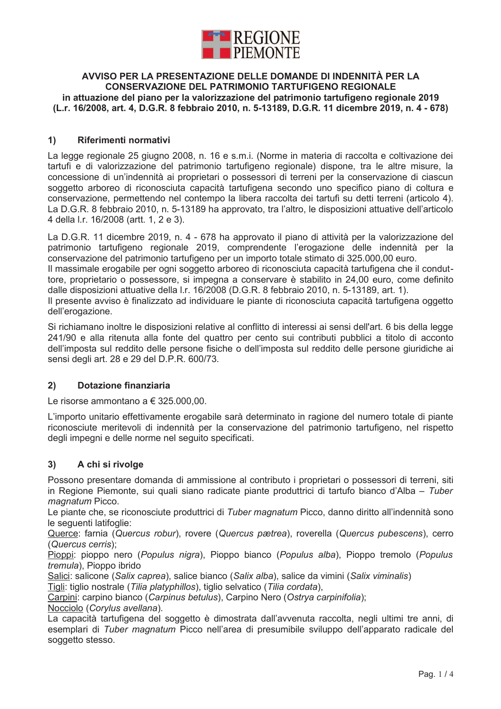

# AVVISO PER LA PRESENTAZIONE DELLE DOMANDE DI INDENNITÀ PER LA CONSERVAZIONE DEL PATRIMONIO TARTUFIGENO REGIONALE in attuazione del piano per la valorizzazione del patrimonio tartufigeno regionale 2019 (L.r. 16/2008, art. 4, D.G.R. 8 febbraio 2010, n. 5-13189, D.G.R. 11 dicembre 2019, n. 4 - 678)

### $1)$ Riferimenti normativi

La legge regionale 25 giugno 2008, n. 16 e s.m.i. (Norme in materia di raccolta e coltivazione dei tartufi e di valorizzazione del patrimonio tartufigeno regionale) dispone, tra le altre misure, la concessione di un'indennità ai proprietari o possessori di terreni per la conservazione di ciascun soggetto arboreo di riconosciuta capacità tartufigena secondo uno specifico piano di coltura e conservazione, permettendo nel contempo la libera raccolta dei tartufi su detti terreni (articolo 4). La D.G.R. 8 febbraio 2010, n. 5-13189 ha approvato, tra l'altro, le disposizioni attuative dell'articolo 4 della I.r. 16/2008 (artt. 1, 2 e 3).

La D.G.R. 11 dicembre 2019, n. 4 - 678 ha approvato il piano di attività per la valorizzazione del patrimonio tartufigeno regionale 2019, comprendente l'erogazione delle indennità per la conservazione del patrimonio tartufigeno per un importo totale stimato di 325.000,00 euro.

Il massimale erogabile per ogni soggetto arboreo di riconosciuta capacità tartufigena che il conduttore, proprietario o possessore, si impegna a conservare è stabilito in 24,00 euro, come definito dalle disposizioni attuative della I.r. 16/2008 (D.G.R. 8 febbraio 2010, n. 5-13189, art. 1).

Il presente avviso è finalizzato ad individuare le piante di riconosciuta capacità tartufigena oggetto dell'erogazione.

Si richiamano inoltre le disposizioni relative al conflitto di interessi ai sensi dell'art. 6 bis della legge 241/90 e alla ritenuta alla fonte del quattro per cento sui contributi pubblici a titolo di acconto dell'imposta sul reddito delle persone fisiche o dell'imposta sul reddito delle persone giuridiche ai sensi degli art. 28 e 29 del D.P.R. 600/73.

#### $2)$ Dotazione finanziaria

Le risorse ammontano a  $\in$  325,000,00.

L'importo unitario effettivamente erogabile sarà determinato in ragione del numero totale di piante riconosciute meritevoli di indennità per la conservazione del patrimonio tartufigeno, nel rispetto degli impegni e delle norme nel seguito specificati.

## $3)$ A chi si rivolge

Possono presentare domanda di ammissione al contributo i proprietari o possessori di terreni, siti in Regione Piemonte, sui quali siano radicate piante produttrici di tartufo bianco d'Alba – Tuber magnatum Picco.

Le piante che, se riconosciute produttrici di Tuber magnatum Picco, danno diritto all'indennità sono le sequenti latifoglie:

Querce: farnia (Quercus robur), rovere (Quercus pætrea), roverella (Quercus pubescens), cerro (Quercus cerris):

Pioppi: pioppo nero (Populus nigra), Pioppo bianco (Populus alba), Pioppo tremolo (Populus tremula), Pioppo ibrido

Salici: salicone (Salix caprea), salice bianco (Salix alba), salice da vimini (Salix viminalis)

Tigli: tiglio nostrale (Tilia platyphillos), tiglio selvatico (Tilia cordata),

Carpini: carpino bianco (Carpinus betulus). Carpino Nero (Ostrva carpinifolia):

Nocciolo (Corylus avellana).

La capacità tartufigena del soggetto è dimostrata dall'avvenuta raccolta, negli ultimi tre anni, di esemplari di Tuber magnatum Picco nell'area di presumibile sviluppo dell'apparato radicale del soggetto stesso.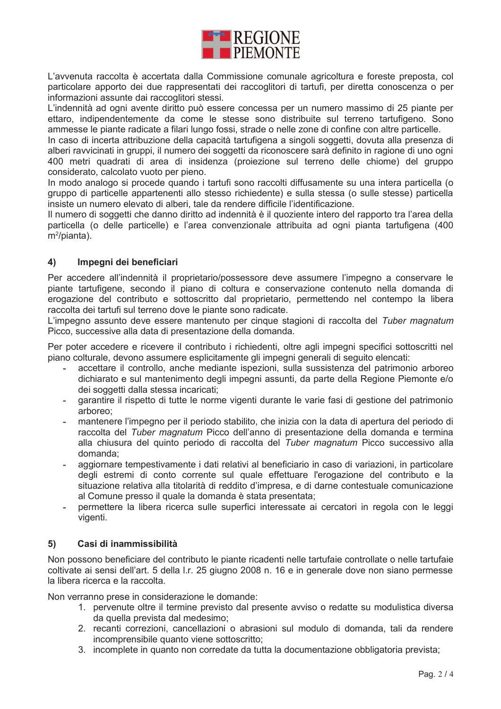

L'avvenuta raccolta è accertata dalla Commissione comunale agricoltura e foreste preposta, col particolare apporto dei due rappresentati dei raccoglitori di tartufi, per diretta conoscenza o per informazioni assunte dai raccoglitori stessi.

L'indennità ad ogni avente diritto può essere concessa per un numero massimo di 25 piante per ettaro, indipendentemente da come le stesse sono distribuite sul terreno tartufigeno. Sono ammesse le piante radicate a filari lungo fossi, strade o nelle zone di confine con altre particelle.

In caso di incerta attribuzione della capacità tartufigena a singoli soggetti, dovuta alla presenza di alberi ravvicinati in gruppi, il numero dei soggetti da riconoscere sarà definito in ragione di uno ogni 400 metri quadrati di area di insidenza (proiezione sul terreno delle chiome) del gruppo considerato, calcolato vuoto per pieno.

In modo analogo si procede quando i tartufi sono raccolti diffusamente su una intera particella (o gruppo di particelle appartenenti allo stesso richiedente) e sulla stessa (o sulle stesse) particella insiste un numero elevato di alberi, tale da rendere difficile l'identificazione.

Il numero di soggetti che danno diritto ad indennità è il quoziente intero del rapporto tra l'area della particella (o delle particelle) e l'area convenzionale attribuita ad ogni pianta tartufigena (400  $m^2$ /pianta).

## $4)$ Impegni dei beneficiari

Per accedere all'indennità il proprietario/possessore deve assumere l'impegno a conservare le piante tartufigene, secondo il piano di coltura e conservazione contenuto nella domanda di erogazione del contributo e sottoscritto dal proprietario, permettendo nel contempo la libera raccolta dei tartufi sul terreno dove le piante sono radicate.

L'impegno assunto deve essere mantenuto per cinque stagioni di raccolta del Tuber magnatum Picco, successive alla data di presentazione della domanda.

Per poter accedere e ricevere il contributo i richiedenti, oltre agli impegni specifici sottoscritti nel piano colturale, devono assumere esplicitamente gli impegni generali di seguito elencati:

- accettare il controllo, anche mediante ispezioni, sulla sussistenza del patrimonio arboreo dichiarato e sul mantenimento degli impegni assunti, da parte della Regione Piemonte e/o dei soggetti dalla stessa incaricati;
- garantire il rispetto di tutte le norme vigenti durante le varie fasi di gestione del patrimonio  $\mathcal{L}^{\text{max}}$ arboreo:
- mantenere l'impegno per il periodo stabilito, che inizia con la data di apertura del periodo di raccolta del Tuber magnatum Picco dell'anno di presentazione della domanda e termina alla chiusura del quinto periodo di raccolta del Tuber magnatum Picco successivo alla domanda:
- aggiornare tempestivamente i dati relativi al beneficiario in caso di variazioni, in particolare degli estremi di conto corrente sul quale effettuare l'erogazione del contributo e la situazione relativa alla titolarità di reddito d'impresa, e di darne contestuale comunicazione al Comune presso il quale la domanda è stata presentata:
- permettere la libera ricerca sulle superfici interessate ai cercatori in regola con le leggi vigenti.

#### Casi di inammissibilità 5)

Non possono beneficiare del contributo le piante ricadenti nelle tartufaie controllate o nelle tartufaie coltivate ai sensi dell'art. 5 della I.r. 25 giugno 2008 n. 16 e in generale dove non siano permesse la libera ricerca e la raccolta.

Non verranno prese in considerazione le domande:

- 1. pervenute oltre il termine previsto dal presente avviso o redatte su modulistica diversa da quella prevista dal medesimo;
- 2. recanti correzioni, cancellazioni o abrasioni sul modulo di domanda, tali da rendere incomprensibile quanto viene sottoscritto;
- 3. incomplete in quanto non corredate da tutta la documentazione obbligatoria prevista;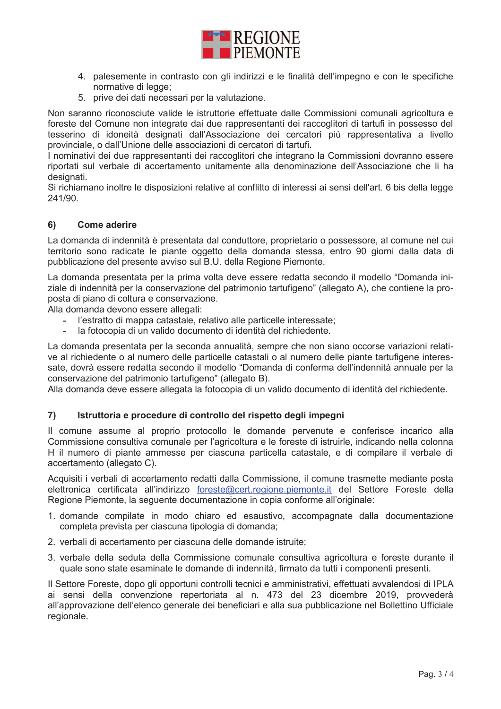

- 4. palesemente in contrasto con gli indirizzi e le finalità dell'impegno e con le specifiche normative di legge;
- 5. prive dei dati necessari per la valutazione.

Non saranno riconosciute valide le istruttorie effettuate dalle Commissioni comunali agricoltura e foreste del Comune non integrate dai due rappresentanti dei raccoglitori di tartufi in possesso del tesserino di idoneità designati dall'Associazione dei cercatori più rappresentativa a livello provinciale, o dall'Unione delle associazioni di cercatori di tartufi.

I nominativi dei due rappresentanti dei raccoglitori che integrano la Commissioni dovranno essere riportati sul verbale di accertamento unitamente alla denominazione dell'Associazione che li ha designati.

Si richiamano inoltre le disposizioni relative al conflitto di interessi ai sensi dell'art. 6 bis della legge 241/90.

## $6)$ **Come aderire**

La domanda di indennità è presentata dal conduttore, proprietario o possessore, al comune nel cui territorio sono radicate le piante oggetto della domanda stessa, entro 90 giorni dalla data di pubblicazione del presente avviso sul B.U. della Regione Piemonte.

La domanda presentata per la prima volta deve essere redatta secondo il modello "Domanda iniziale di indennità per la conservazione del patrimonio tartufigeno" (allegato A), che contiene la proposta di piano di coltura e conservazione.

Alla domanda devono essere allegati:

- l'estratto di mappa catastale, relativo alle particelle interessate;
- la fotocopia di un valido documento di identità del richiedente.

La domanda presentata per la seconda annualità, sempre che non siano occorse variazioni relative al richiedente o al numero delle particelle catastali o al numero delle piante tartufigene interessate, dovrà essere redatta secondo il modello "Domanda di conferma dell'indennità annuale per la conservazione del patrimonio tartufigeno" (allegato B).

Alla domanda deve essere allegata la fotocopia di un valido documento di identità del richiedente.

#### $\mathbf{7}$ Istruttoria e procedure di controllo del rispetto degli impegni

Il comune assume al proprio protocollo le domande pervenute e conferisce incarico alla Commissione consultiva comunale per l'agricoltura e le foreste di istruirle, indicando nella colonna H il numero di piante ammesse per ciascuna particella catastale, e di compilare il verbale di accertamento (allegato C).

Acquisiti i verbali di accertamento redatti dalla Commissione, il comune trasmette mediante posta elettronica certificata all'indirizzo foreste@cert.regione.piemonte.it del Settore Foreste della Regione Piemonte, la seguente documentazione in copia conforme all'originale:

- 1. domande compilate in modo chiaro ed esaustivo, accompagnate dalla documentazione completa prevista per ciascuna tipologia di domanda;
- 2. verbali di accertamento per ciascuna delle domande istruite;
- 3. verbale della seduta della Commissione comunale consultiva agricoltura e foreste durante il quale sono state esaminate le domande di indennità, firmato da tutti i componenti presenti.

Il Settore Foreste, dopo gli opportuni controlli tecnici e amministrativi, effettuati avvalendosi di IPLA ai sensi della convenzione repertoriata al n. 473 del 23 dicembre 2019, provvederà all'approvazione dell'elenco generale dei beneficiari e alla sua pubblicazione nel Bollettino Ufficiale regionale.